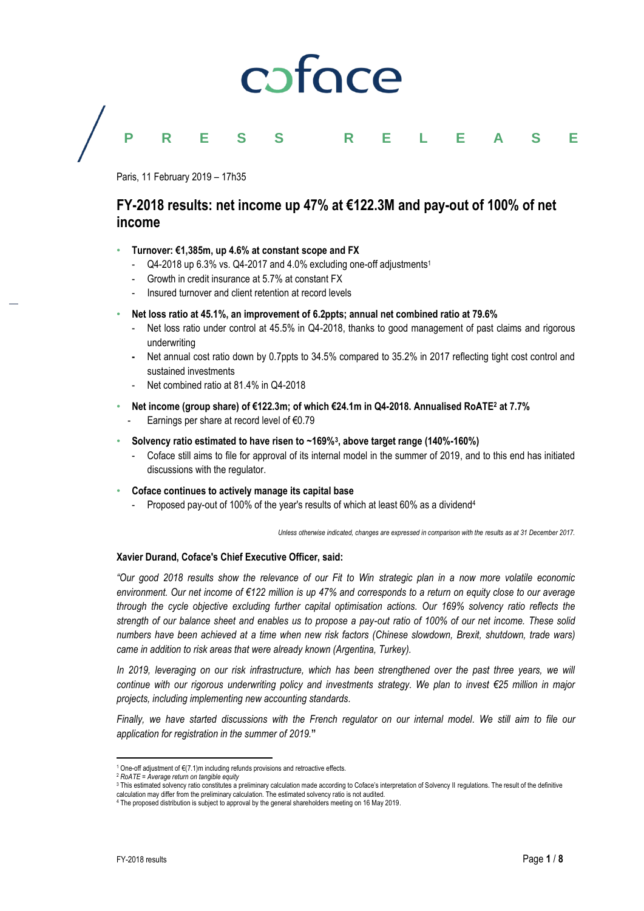# caface

# **PRESS RELEASE**

Paris, 11 February 2019 – 17h35

## **FY-2018 results: net income up 47% at €122.3M and pay-out of 100% of net income**

### • **Turnover: €1,385m, up 4.6% at constant scope and FX**

- Q4-2018 up 6.3% vs. Q4-2017 and 4.0% excluding one-off adjustments 1
- Growth in credit insurance at 5.7% at constant FX
- Insured turnover and client retention at record levels
- **Net loss ratio at 45.1%, an improvement of 6.2ppts; annual net combined ratio at 79.6%**
	- Net loss ratio under control at 45.5% in Q4-2018, thanks to good management of past claims and rigorous underwriting
	- **-** Net annual cost ratio down by 0.7ppts to 34.5% compared to 35.2% in 2017 reflecting tight cost control and sustained investments
	- Net combined ratio at 81.4% in Q4-2018
- **Net income (group share) of €122.3m; of which €24.1m in Q4-2018. Annualised RoATE<sup>2</sup> at 7.7%** - Earnings per share at record level of €0.79
- **Solvency ratio estimated to have risen to ~169%<sup>3</sup> , above target range (140%-160%)**
	- Coface still aims to file for approval of its internal model in the summer of 2019, and to this end has initiated discussions with the regulator.
- **Coface continues to actively manage its capital base**
	- Proposed pay-out of 100% of the year's results of which at least 60% as a dividend<sup>4</sup>

*Unless otherwise indicated, changes are expressed in comparison with the results as at 31 December 2017.*

### **Xavier Durand, Coface's Chief Executive Officer, said:**

*"Our good 2018 results show the relevance of our Fit to Win strategic plan in a now more volatile economic environment. Our net income of €122 million is up 47% and corresponds to a return on equity close to our average through the cycle objective excluding further capital optimisation actions. Our 169% solvency ratio reflects the strength of our balance sheet and enables us to propose a pay-out ratio of 100% of our net income. These solid numbers have been achieved at a time when new risk factors (Chinese slowdown, Brexit, shutdown, trade wars) came in addition to risk areas that were already known (Argentina, Turkey).*

In 2019, leveraging on our risk infrastructure, which has been strengthened over the past three years, we will *continue with our rigorous underwriting policy and investments strategy. We plan to invest €25 million in major projects, including implementing new accounting standards.*

*Finally, we have started discussions with the French regulator on our internal model. We still aim to file our application for registration in the summer of 2019.***"**

 $\overline{a}$ <sup>1</sup> One-off adjustment of €(7.1)m including refunds provisions and retroactive effects.

<sup>2</sup> *RoATE = Average return on tangible equity*

<sup>&</sup>lt;sup>3</sup> This estimated solvency ratio constitutes a preliminary calculation made according to Coface's interpretation of Solvency II regulations. The result of the definitive

calculation may differ from the preliminary calculation. The estimated solvency ratio is not audited. <sup>4</sup> The proposed distribution is subject to approval by the general shareholders meeting on 16 May 2019.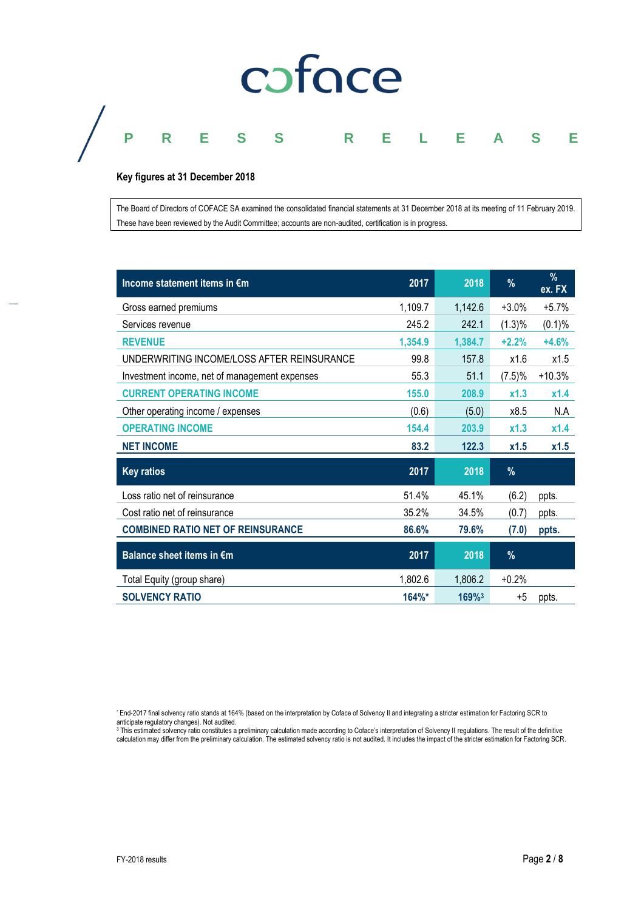# coface

# **PRESS RELEASE**

### **Key figures at 31 December 2018**

The Board of Directors of COFACE SA examined the consolidated financial statements at 31 December 2018 at its meeting of 11 February 2019. These have been reviewed by the Audit Committee; accounts are non-audited, certification is in progress.

| Income statement items in €m                  | 2017    | 2018                | $\%$    | $\frac{9}{6}$<br>ex. FX |
|-----------------------------------------------|---------|---------------------|---------|-------------------------|
| Gross earned premiums                         | 1,109.7 | 1,142.6             | $+3.0%$ | $+5.7%$                 |
| Services revenue                              | 245.2   | 242.1               | (1.3)%  | (0.1)%                  |
| <b>REVENUE</b>                                | 1,354.9 | 1,384.7             | $+2.2%$ | $+4.6%$                 |
| UNDERWRITING INCOME/LOSS AFTER REINSURANCE    | 99.8    | 157.8               | x1.6    | x1.5                    |
| Investment income, net of management expenses | 55.3    | 51.1                | (7.5)%  | $+10.3%$                |
| <b>CURRENT OPERATING INCOME</b>               | 155.0   | 208.9               | x1.3    | x1.4                    |
| Other operating income / expenses             | (0.6)   | (5.0)               | x8.5    | N.A                     |
| <b>OPERATING INCOME</b>                       | 154.4   | 203.9               | x1.3    | x1.4                    |
| <b>NET INCOME</b>                             | 83.2    | 122.3               | x1.5    | x1.5                    |
| <b>Key ratios</b>                             | 2017    | 2018                | $\%$    |                         |
| Loss ratio net of reinsurance                 | 51.4%   | 45.1%               | (6.2)   | ppts.                   |
| Cost ratio net of reinsurance                 | 35.2%   | 34.5%               | (0.7)   | ppts.                   |
| <b>COMBINED RATIO NET OF REINSURANCE</b>      | 86.6%   | 79.6%               | (7.0)   | ppts.                   |
| Balance sheet items in €m                     | 2017    | 2018                | $\%$    |                         |
| Total Equity (group share)                    | 1,802.6 | 1,806.2             | $+0.2%$ |                         |
| <b>SOLVENCY RATIO</b>                         | 164%*   | $169%$ <sup>3</sup> | $+5$    | ppts.                   |

\* End-2017 final solvency ratio stands at 164% (based on the interpretation by Coface of Solvency II and integrating a stricter estimation for Factoring SCR to

anticipate regulatory changes). Not audited.<br><sup>3</sup> This estimated solvency ratio constitutes a preliminary calculation made according to Coface's interpretation of Solvency II regulations. The result of the definitive calculation may differ from the preliminary calculation. The estimated solvency ratio is not audited. It includes the impact of the stricter estimation for Factoring SCR.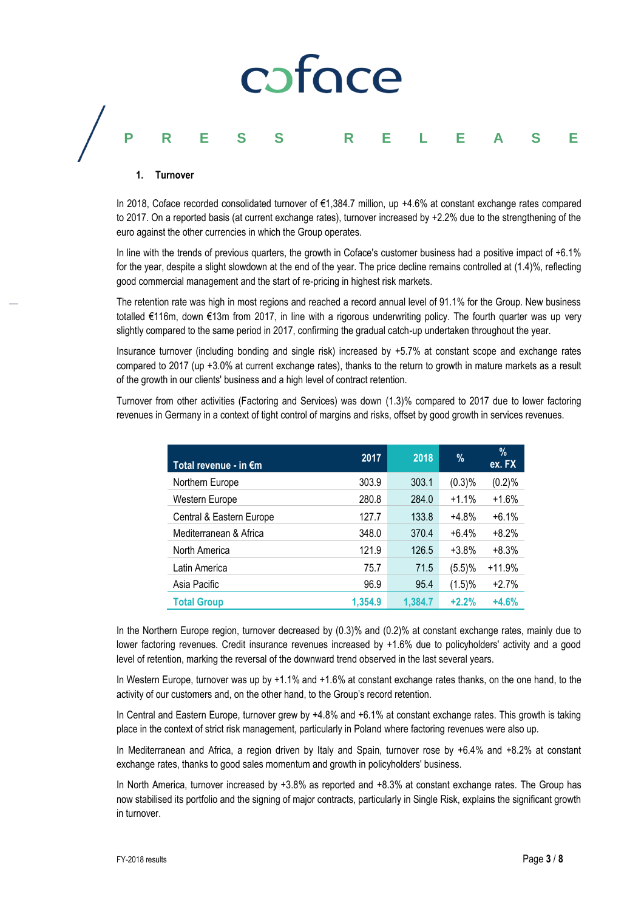# caface **PRESS RELEASE**

#### **1. Turnover**

In 2018, Coface recorded consolidated turnover of €1,384.7 million, up +4.6% at constant exchange rates compared to 2017. On a reported basis (at current exchange rates), turnover increased by +2.2% due to the strengthening of the euro against the other currencies in which the Group operates.

In line with the trends of previous quarters, the growth in Coface's customer business had a positive impact of +6.1% for the year, despite a slight slowdown at the end of the year. The price decline remains controlled at (1.4)%, reflecting good commercial management and the start of re-pricing in highest risk markets.

The retention rate was high in most regions and reached a record annual level of 91.1% for the Group. New business totalled €116m, down €13m from 2017, in line with a rigorous underwriting policy. The fourth quarter was up very slightly compared to the same period in 2017, confirming the gradual catch-up undertaken throughout the year.

Insurance turnover (including bonding and single risk) increased by +5.7% at constant scope and exchange rates compared to 2017 (up +3.0% at current exchange rates), thanks to the return to growth in mature markets as a result of the growth in our clients' business and a high level of contract retention.

Turnover from other activities (Factoring and Services) was down (1.3)% compared to 2017 due to lower factoring revenues in Germany in a context of tight control of margins and risks, offset by good growth in services revenues.

| Total revenue - in $\epsilon$ m | 2017    | 2018    | %       | $\%$<br>ex. FX |
|---------------------------------|---------|---------|---------|----------------|
| Northern Europe                 | 303.9   | 303.1   | (0.3)%  | (0.2)%         |
| Western Europe                  | 280.8   | 284.0   | $+1.1%$ | $+1.6%$        |
| Central & Eastern Europe        | 127.7   | 133.8   | $+4.8%$ | $+6.1%$        |
| Mediterranean & Africa          | 348.0   | 370.4   | $+6.4%$ | $+8.2%$        |
| North America                   | 121.9   | 126.5   | $+3.8%$ | $+8.3%$        |
| Latin America                   | 75.7    | 71.5    | (5.5)%  | $+11.9%$       |
| Asia Pacific                    | 96.9    | 95.4    | (1.5)%  | $+2.7%$        |
| <b>Total Group</b>              | 1.354.9 | 1.384.7 | $+2.2%$ | $+4.6%$        |

In the Northern Europe region, turnover decreased by (0.3)% and (0.2)% at constant exchange rates, mainly due to lower factoring revenues. Credit insurance revenues increased by +1.6% due to policyholders' activity and a good level of retention, marking the reversal of the downward trend observed in the last several years.

In Western Europe, turnover was up by +1.1% and +1.6% at constant exchange rates thanks, on the one hand, to the activity of our customers and, on the other hand, to the Group's record retention.

In Central and Eastern Europe, turnover grew by +4.8% and +6.1% at constant exchange rates. This growth is taking place in the context of strict risk management, particularly in Poland where factoring revenues were also up.

In Mediterranean and Africa, a region driven by Italy and Spain, turnover rose by +6.4% and +8.2% at constant exchange rates, thanks to good sales momentum and growth in policyholders' business.

In North America, turnover increased by +3.8% as reported and +8.3% at constant exchange rates. The Group has now stabilised its portfolio and the signing of major contracts, particularly in Single Risk, explains the significant growth in turnover.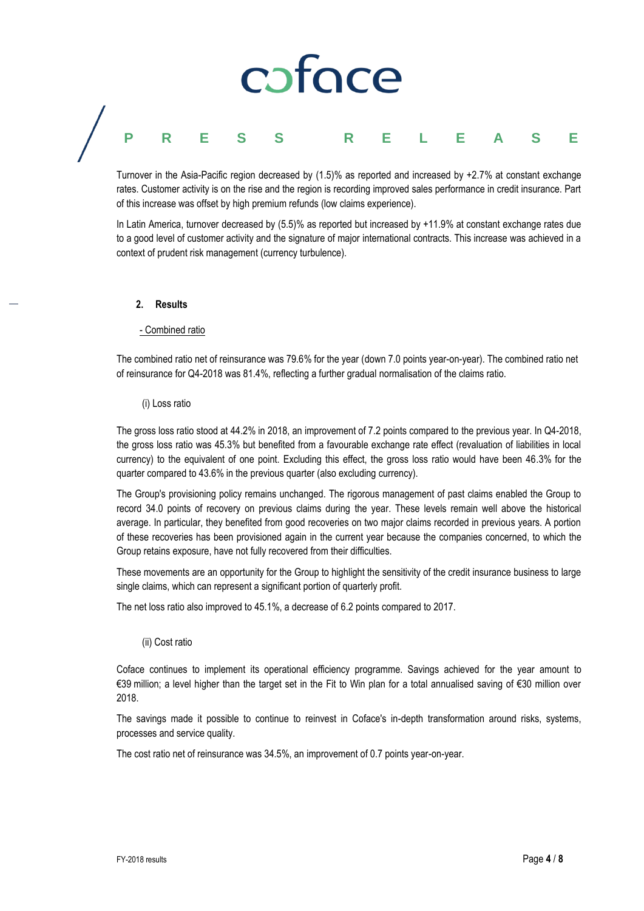# caface **PRESS RELEASE**

Turnover in the Asia-Pacific region decreased by (1.5)% as reported and increased by +2.7% at constant exchange rates. Customer activity is on the rise and the region is recording improved sales performance in credit insurance. Part of this increase was offset by high premium refunds (low claims experience).

In Latin America, turnover decreased by (5.5)% as reported but increased by +11.9% at constant exchange rates due to a good level of customer activity and the signature of major international contracts. This increase was achieved in a context of prudent risk management (currency turbulence).

#### **2. Results**

#### - Combined ratio

The combined ratio net of reinsurance was 79.6% for the year (down 7.0 points year-on-year). The combined ratio net of reinsurance for Q4-2018 was 81.4%, reflecting a further gradual normalisation of the claims ratio.

#### (i) Loss ratio

The gross loss ratio stood at 44.2% in 2018, an improvement of 7.2 points compared to the previous year. In Q4-2018, the gross loss ratio was 45.3% but benefited from a favourable exchange rate effect (revaluation of liabilities in local currency) to the equivalent of one point. Excluding this effect, the gross loss ratio would have been 46.3% for the quarter compared to 43.6% in the previous quarter (also excluding currency).

The Group's provisioning policy remains unchanged. The rigorous management of past claims enabled the Group to record 34.0 points of recovery on previous claims during the year. These levels remain well above the historical average. In particular, they benefited from good recoveries on two major claims recorded in previous years. A portion of these recoveries has been provisioned again in the current year because the companies concerned, to which the Group retains exposure, have not fully recovered from their difficulties.

These movements are an opportunity for the Group to highlight the sensitivity of the credit insurance business to large single claims, which can represent a significant portion of quarterly profit.

The net loss ratio also improved to 45.1%, a decrease of 6.2 points compared to 2017.

#### (ii) Cost ratio

Coface continues to implement its operational efficiency programme. Savings achieved for the year amount to €39 million; a level higher than the target set in the Fit to Win plan for a total annualised saving of €30 million over 2018.

The savings made it possible to continue to reinvest in Coface's in-depth transformation around risks, systems, processes and service quality.

The cost ratio net of reinsurance was 34.5%, an improvement of 0.7 points year-on-year.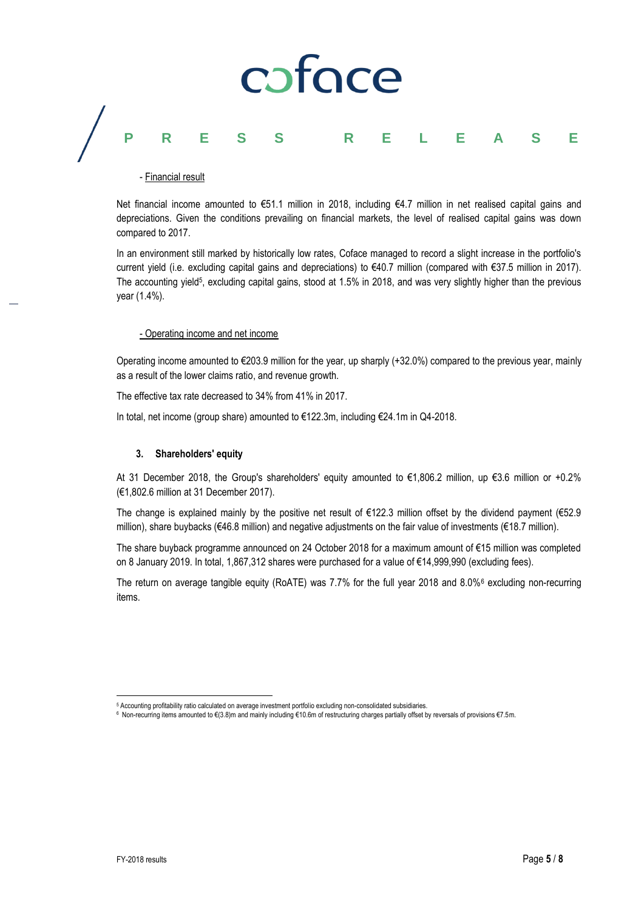# coface **PRESS RELEASE**

### - Financial result

Net financial income amounted to €51.1 million in 2018, including €4.7 million in net realised capital gains and depreciations. Given the conditions prevailing on financial markets, the level of realised capital gains was down compared to 2017.

In an environment still marked by historically low rates, Coface managed to record a slight increase in the portfolio's current yield (i.e. excluding capital gains and depreciations) to €40.7 million (compared with €37.5 million in 2017). The accounting yield<sup>5</sup>, excluding capital gains, stood at 1.5% in 2018, and was very slightly higher than the previous year (1.4%).

#### - Operating income and net income

Operating income amounted to €203.9 million for the year, up sharply (+32.0%) compared to the previous year, mainly as a result of the lower claims ratio, and revenue growth.

The effective tax rate decreased to 34% from 41% in 2017.

In total, net income (group share) amounted to €122.3m, including €24.1m in Q4-2018.

### **3. Shareholders' equity**

At 31 December 2018, the Group's shareholders' equity amounted to €1,806.2 million, up €3.6 million or +0.2% (€1,802.6 million at 31 December 2017).

The change is explained mainly by the positive net result of €122.3 million offset by the dividend payment (€52.9 million), share buybacks (€46.8 million) and negative adjustments on the fair value of investments (€18.7 million).

The share buyback programme announced on 24 October 2018 for a maximum amount of €15 million was completed on 8 January 2019. In total, 1,867,312 shares were purchased for a value of €14,999,990 (excluding fees).

The return on average tangible equity (RoATE) was 7.7% for the full year 2018 and 8.0%<sup>6</sup> excluding non-recurring items.

 $\overline{a}$ 

<sup>&</sup>lt;sup>5</sup> Accounting profitability ratio calculated on average investment portfolio excluding non-consolidated subsidiaries.<br><sup>6</sup> Non-recurring items amounted to €(3.8)m and mainly including €10.6m of restructuring charges parti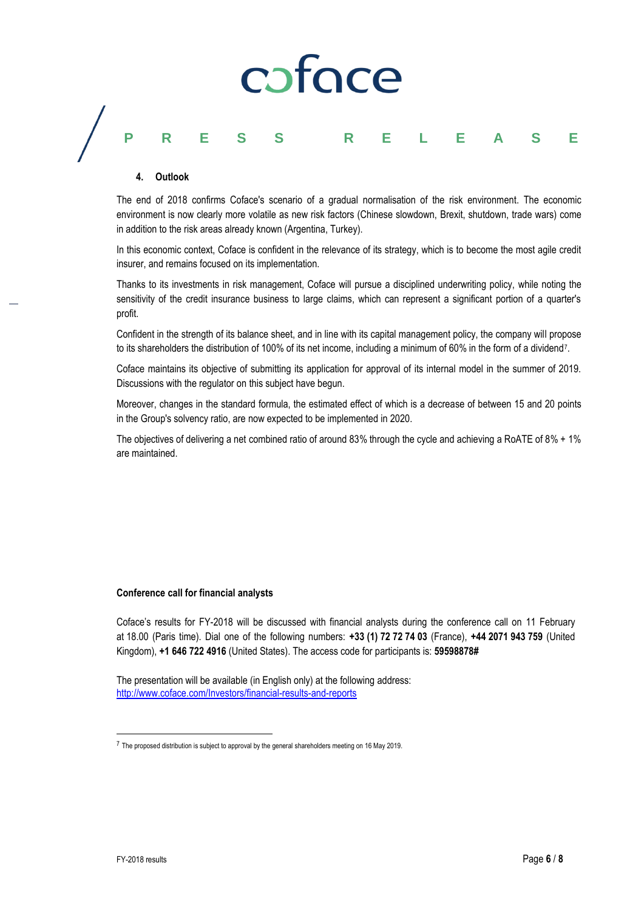# coface **PRESS RELEASE**

#### **4. Outlook**

The end of 2018 confirms Coface's scenario of a gradual normalisation of the risk environment. The economic environment is now clearly more volatile as new risk factors (Chinese slowdown, Brexit, shutdown, trade wars) come in addition to the risk areas already known (Argentina, Turkey).

In this economic context, Coface is confident in the relevance of its strategy, which is to become the most agile credit insurer, and remains focused on its implementation.

Thanks to its investments in risk management, Coface will pursue a disciplined underwriting policy, while noting the sensitivity of the credit insurance business to large claims, which can represent a significant portion of a quarter's profit.

Confident in the strength of its balance sheet, and in line with its capital management policy, the company will propose to its shareholders the distribution of 100% of its net income, including a minimum of 60% in the form of a dividend7.

Coface maintains its objective of submitting its application for approval of its internal model in the summer of 2019. Discussions with the regulator on this subject have begun.

Moreover, changes in the standard formula, the estimated effect of which is a decrease of between 15 and 20 points in the Group's solvency ratio, are now expected to be implemented in 2020.

The objectives of delivering a net combined ratio of around 83% through the cycle and achieving a RoATE of 8% + 1% are maintained.

#### **Conference call for financial analysts**

Coface's results for FY-2018 will be discussed with financial analysts during the conference call on 11 February at 18.00 (Paris time). Dial one of the following numbers: **+33 (1) 72 72 74 03** (France), **+44 2071 943 759** (United Kingdom), **+1 646 722 4916** (United States). The access code for participants is: **59598878#**

The presentation will be available (in English only) at the following address: <http://www.coface.com/Investors/financial-results-and-reports>

 $\overline{a}$ 

<sup>7</sup> The proposed distribution is subject to approval by the general shareholders meeting on 16 May 2019.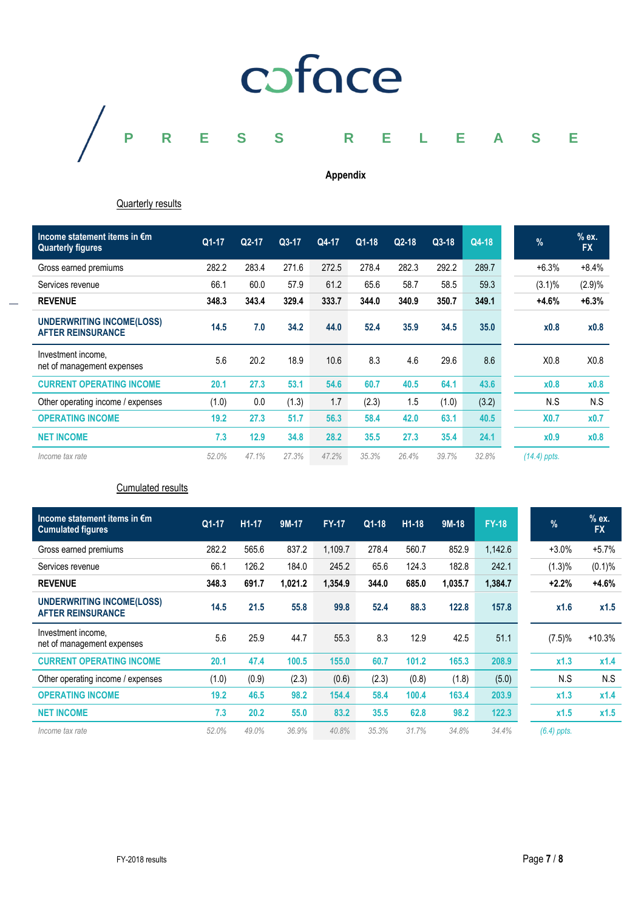

**Appendix**

### **Quarterly results**

| Income statement items in €m<br><b>Quarterly figures</b> | $Q1-17$ | $Q2-17$ | $Q3-17$ | Q4-17 | $Q1-18$ | $Q2-18$ | $Q3-18$ | Q4-18 | $\frac{9}{6}$ | $%$ ex.<br><b>FX</b> |
|----------------------------------------------------------|---------|---------|---------|-------|---------|---------|---------|-------|---------------|----------------------|
| Gross earned premiums                                    | 282.2   | 283.4   | 271.6   | 272.5 | 278.4   | 282.3   | 292.2   | 289.7 | $+6.3%$       | $+8.4%$              |
| Services revenue                                         | 66.1    | 60.0    | 57.9    | 61.2  | 65.6    | 58.7    | 58.5    | 59.3  | $(3.1)\%$     | (2.9)%               |
| <b>REVENUE</b>                                           | 348.3   | 343.4   | 329.4   | 333.7 | 344.0   | 340.9   | 350.7   | 349.1 | $+4.6%$       | $+6.3%$              |
| UNDERWRITING INCOME(LOSS)<br><b>AFTER REINSURANCE</b>    | 14.5    | 7.0     | 34.2    | 44.0  | 52.4    | 35.9    | 34.5    | 35.0  | x0.8          | x0.8                 |
| Investment income.<br>net of management expenses         | 5.6     | 20.2    | 18.9    | 10.6  | 8.3     | 4.6     | 29.6    | 8.6   | X0.8          | X <sub>0.8</sub>     |
| <b>CURRENT OPERATING INCOME</b>                          | 20.1    | 27.3    | 53.1    | 54.6  | 60.7    | 40.5    | 64.1    | 43.6  | x0.8          | x0.8                 |
| Other operating income / expenses                        | (1.0)   | 0.0     | (1.3)   | 1.7   | (2.3)   | 1.5     | (1.0)   | (3.2) | N.S           | N.S                  |
| <b>OPERATING INCOME</b>                                  | 19.2    | 27.3    | 51.7    | 56.3  | 58.4    | 42.0    | 63.1    | 40.5  | <b>X0.7</b>   | x0.7                 |
| <b>NET INCOME</b>                                        | 7.3     | 12.9    | 34.8    | 28.2  | 35.5    | 27.3    | 35.4    | 24.1  | x0.9          | x0.8                 |
| Income tax rate                                          | 52.0%   | 47.1%   | 27.3%   | 47.2% | 35.3%   | 26.4%   | 39.7%   | 32.8% | (14.4) ppts.  |                      |

Cumulated results

| Income statement items in $\epsilon$ m<br><b>Cumulated figures</b> | $Q1-17$ | H <sub>1</sub> -17 | 9M-17   | <b>FY-17</b> | $Q1-18$ | $H1-18$ | $9M-18$ | <b>FY-18</b> | $\frac{9}{6}$ | $%$ ex.<br><b>FX</b> |
|--------------------------------------------------------------------|---------|--------------------|---------|--------------|---------|---------|---------|--------------|---------------|----------------------|
| Gross earned premiums                                              | 282.2   | 565.6              | 837.2   | 1,109.7      | 278.4   | 560.7   | 852.9   | 1,142.6      | $+3.0%$       | $+5.7%$              |
| Services revenue                                                   | 66.1    | 126.2              | 184.0   | 245.2        | 65.6    | 124.3   | 182.8   | 242.1        | $(1.3)\%$     | (0.1)%               |
| <b>REVENUE</b>                                                     | 348.3   | 691.7              | 1,021.2 | 1,354.9      | 344.0   | 685.0   | 1.035.7 | 1,384.7      | $+2.2%$       | $+4.6%$              |
| <b>UNDERWRITING INCOME(LOSS)</b><br><b>AFTER REINSURANCE</b>       | 14.5    | 21.5               | 55.8    | 99.8         | 52.4    | 88.3    | 122.8   | 157.8        | x1.6          | x1.5                 |
| Investment income,<br>net of management expenses                   | 5.6     | 25.9               | 44.7    | 55.3         | 8.3     | 12.9    | 42.5    | 51.1         | $(7.5)\%$     | $+10.3%$             |
| <b>CURRENT OPERATING INCOME</b>                                    | 20.1    | 47.4               | 100.5   | 155.0        | 60.7    | 101.2   | 165.3   | 208.9        | x1.3          | x1.4                 |
| Other operating income / expenses                                  | (1.0)   | (0.9)              | (2.3)   | (0.6)        | (2.3)   | (0.8)   | (1.8)   | (5.0)        | N.S           | N.S                  |
| <b>OPERATING INCOME</b>                                            | 19.2    | 46.5               | 98.2    | 154.4        | 58.4    | 100.4   | 163.4   | 203.9        | x1.3          | x1.4                 |
| <b>NET INCOME</b>                                                  | 7.3     | 20.2               | 55.0    | 83.2         | 35.5    | 62.8    | 98.2    | 122.3        | x1.5          | x1.5                 |
| Income tax rate                                                    | 52.0%   | 49.0%              | 36.9%   | 40.8%        | 35.3%   | 31.7%   | 34.8%   | 34.4%        | $(6.4)$ ppts. |                      |